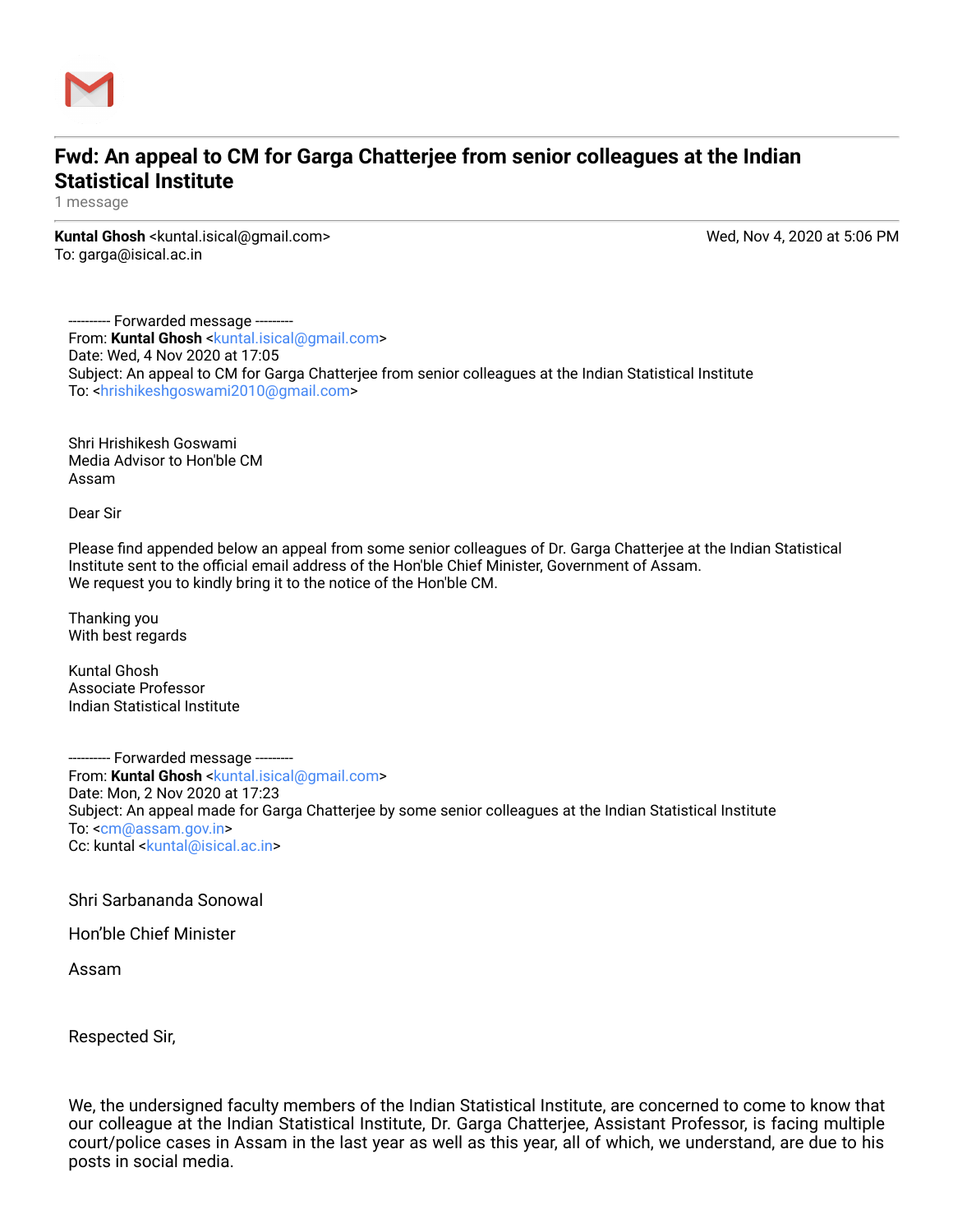

## **Fwd: An appeal to CM for Garga Chatterjee from senior colleagues at the Indian Statistical Institute**

1 message

**Kuntal Ghosh** <kuntal.isical@gmail.com> Wed, Nov 4, 2020 at 5:06 PM To: garga@isical.ac.in

--- Forwarded message ---------From: Kuntal Ghosh [<kuntal.isical@gmail.com>](mailto:kuntal.isical@gmail.com) Date: Wed, 4 Nov 2020 at 17:05 Subject: An appeal to CM for Garga Chatterjee from senior colleagues at the Indian Statistical Institute To: <[hrishikeshgoswami2010@gmail.com>](mailto:hrishikeshgoswami2010@gmail.com)

Shri Hrishikesh Goswami Media Advisor to Hon'ble CM Assam

Dear Sir

Please find appended below an appeal from some senior colleagues of Dr. Garga Chatterjee at the Indian Statistical Institute sent to the official email address of the Hon'ble Chief Minister, Government of Assam. We request you to kindly bring it to the notice of the Hon'ble CM.

Thanking you With best regards

Kuntal Ghosh Associate Professor Indian Statistical Institute

--- Forwarded message ---------From: **Kuntal Ghosh** [<kuntal.isical@gmail.com>](mailto:kuntal.isical@gmail.com) Date: Mon, 2 Nov 2020 at 17:23 Subject: An appeal made for Garga Chatterjee by some senior colleagues at the Indian Statistical Institute To: <[cm@assam.gov.in](mailto:cm@assam.gov.in)> Cc: kuntal [<kuntal@isical.ac.in](mailto:kuntal@isical.ac.in)>

Shri Sarbananda Sonowal

Hon'ble Chief Minister

Assam

Respected Sir,

We, the undersigned faculty members of the Indian Statistical Institute, are concerned to come to know that our colleague at the Indian Statistical Institute, Dr. Garga Chatterjee, Assistant Professor, is facing multiple court/police cases in Assam in the last year as well as this year, all of which, we understand, are due to his posts in social media.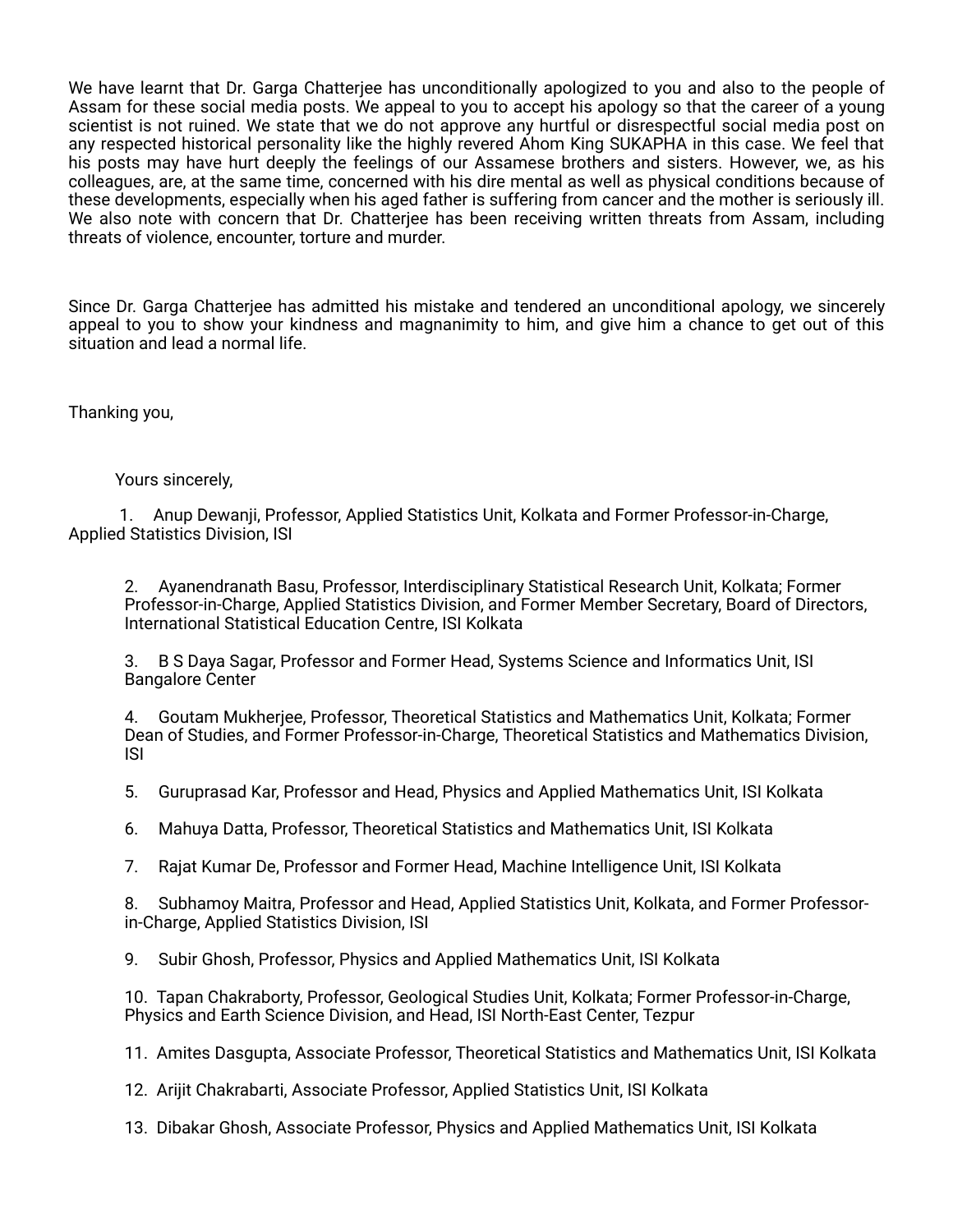We have learnt that Dr. Garga Chatterjee has unconditionally apologized to you and also to the people of Assam for these social media posts. We appeal to you to accept his apology so that the career of a young scientist is not ruined. We state that we do not approve any hurtful or disrespectful social media post on any respected historical personality like the highly revered Ahom King SUKAPHA in this case. We feel that his posts may have hurt deeply the feelings of our Assamese brothers and sisters. However, we, as his colleagues, are, at the same time, concerned with his dire mental as well as physical conditions because of these developments, especially when his aged father is suffering from cancer and the mother is seriously ill. We also note with concern that Dr. Chatterjee has been receiving written threats from Assam, including threats of violence, encounter, torture and murder.

Since Dr. Garga Chatterjee has admitted his mistake and tendered an unconditional apology, we sincerely appeal to you to show your kindness and magnanimity to him, and give him a chance to get out of this situation and lead a normal life.

Thanking you,

Yours sincerely,

1. Anup Dewanji, Professor, Applied Statistics Unit, Kolkata and Former Professor-in-Charge, Applied Statistics Division, ISI

2. Ayanendranath Basu, Professor, Interdisciplinary Statistical Research Unit, Kolkata; Former Professor-in-Charge, Applied Statistics Division, and Former Member Secretary, Board of Directors, International Statistical Education Centre, ISI Kolkata

3. B S Daya Sagar, Professor and Former Head, Systems Science and Informatics Unit, ISI Bangalore Center

4. Goutam Mukherjee, Professor, Theoretical Statistics and Mathematics Unit, Kolkata; Former Dean of Studies, and Former Professor-in-Charge, Theoretical Statistics and Mathematics Division, ISI

5. Guruprasad Kar, Professor and Head, Physics and Applied Mathematics Unit, ISI Kolkata

6. Mahuya Datta, Professor, Theoretical Statistics and Mathematics Unit, ISI Kolkata

7. Rajat Kumar De, Professor and Former Head, Machine Intelligence Unit, ISI Kolkata

8. Subhamoy Maitra, Professor and Head, Applied Statistics Unit, Kolkata, and Former Professorin-Charge, Applied Statistics Division, ISI

9. Subir Ghosh, Professor, Physics and Applied Mathematics Unit, ISI Kolkata

10. Tapan Chakraborty, Professor, Geological Studies Unit, Kolkata; Former Professor-in-Charge, Physics and Earth Science Division, and Head, ISI North-East Center, Tezpur

11. Amites Dasgupta, Associate Professor, Theoretical Statistics and Mathematics Unit, ISI Kolkata

12. Arijit Chakrabarti, Associate Professor, Applied Statistics Unit, ISI Kolkata

13. Dibakar Ghosh, Associate Professor, Physics and Applied Mathematics Unit, ISI Kolkata